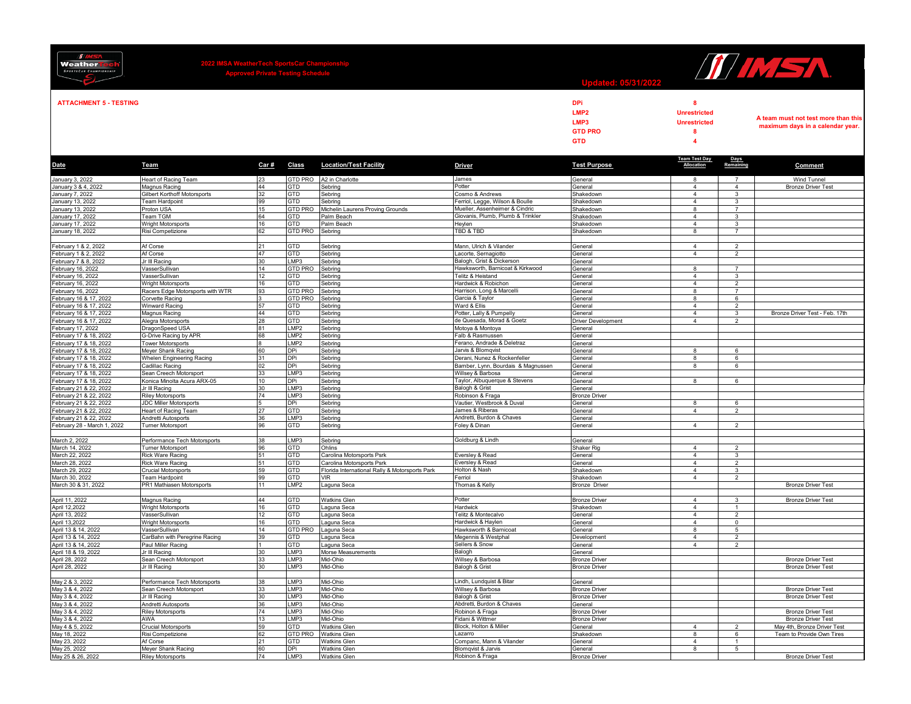| <b>Weather</b><br><b>SPORTSCAR CHAMPIONSHIP</b>                            |                                                       | SA WeatherTech Sportsتar تناسبات<br>Approved Private Testing Schedule |                         |                                                |                                                               | WW5A                                                                   |                                                                                 |                                |                                                                         |
|----------------------------------------------------------------------------|-------------------------------------------------------|-----------------------------------------------------------------------|-------------------------|------------------------------------------------|---------------------------------------------------------------|------------------------------------------------------------------------|---------------------------------------------------------------------------------|--------------------------------|-------------------------------------------------------------------------|
| <b>ATTACHMENT 5 - TESTING</b>                                              |                                                       |                                                                       |                         |                                                |                                                               | <b>DPi</b><br>LMP <sub>2</sub><br>LMP3<br><b>GTD PRO</b><br><b>GTD</b> | 8<br><b>Unrestricted</b><br><b>Unrestricted</b><br>8<br>$\overline{\mathbf{4}}$ |                                | A team must not test more than this<br>maximum days in a calendar year. |
| Date                                                                       | Team                                                  | Car#                                                                  | Class                   | <b>Location/Test Facility</b>                  | <b>Driver</b>                                                 | <b>Test Purpose</b>                                                    | <b>Team Test Day</b><br>Allocation                                              | Days<br>Remaining              | Comment                                                                 |
| <b>January 3, 2022</b>                                                     | Heart of Racing Team                                  | 23                                                                    | GTD PRO                 | A2 in Charlotte                                | James                                                         | General                                                                | 8                                                                               | $\overline{7}$                 | Wind Tunnel                                                             |
| January 3 & 4, 2022                                                        | Magnus Racing                                         | 44                                                                    | ЭTD                     | Sebring                                        | Potter                                                        | General                                                                | 4                                                                               | $\overline{4}$                 | <b>Bronze Driver Test</b>                                               |
| January 7, 2022<br>January 13, 2022                                        | Gilbert Korthoff Motorsports                          | 32<br>99                                                              | GTD<br>GTD              | Sebrina                                        | Cosmo & Andrews<br>Ferriol, Legge, Wilson & Boulle            | Shakedown<br>Shakedowr                                                 | $\mathbf{A}$<br>$\Delta$                                                        | $\mathbf{3}$<br>$\overline{3}$ |                                                                         |
| January 13, 2022                                                           | Team Hardpoint<br>Proton USA                          | 15                                                                    | <b>GTD PRO</b>          | Sebring<br>Michelin Laurens Proving Grounds    | Mueller, Assenheimer & Cindric                                | Shakedown                                                              | 8                                                                               | $\overline{7}$                 |                                                                         |
| January 17, 2022                                                           | Team TGM                                              | 64                                                                    | GTD                     | Palm Beach                                     | Giovanis, Plumb, Plumb & Trinkler                             | Shakedown                                                              | $\overline{4}$                                                                  | 3                              |                                                                         |
| January 17, 2022<br>January 18, 2022                                       | <b>Wright Motorsports</b>                             | 16                                                                    | GTD<br><b>GTD PRO</b>   | Palm Beach                                     | Heylen<br>TBD & TBD                                           | Shakedown                                                              | $\overline{4}$<br>8                                                             | $\mathbf{3}$<br>$\overline{7}$ |                                                                         |
|                                                                            | Risi Competizione                                     | 62                                                                    |                         | Sebring                                        |                                                               | Shakedown                                                              |                                                                                 |                                |                                                                         |
|                                                                            | Af Corse                                              |                                                                       | GTD                     | Sebring                                        | Mann, Ulrich & Vilander                                       | General                                                                | $\overline{4}$                                                                  | $\mathcal{D}$                  |                                                                         |
| February 1 & 2, 2022<br>February 1 & 2, 2022<br>February 7 & 8, 2022       | Af Corse                                              | 47                                                                    | GTD                     | Sebring                                        | Lacorte, Sernagiotto                                          | General                                                                | $\overline{4}$                                                                  | $\overline{2}$                 |                                                                         |
|                                                                            | Jr III Racing<br>VasserSullivan                       | 30<br>14                                                              | LMP3<br>GTD PRO         | Sebring<br>Sebring                             | Balogh, Grist & Dickerson<br>Hawksworth, Barnicoat & Kirkwood | General<br>General                                                     | 8                                                                               | $\overline{7}$                 |                                                                         |
| February 16, 2022<br>February 16, 2022<br>February 16, 2022                | VasserSullivan                                        | 12                                                                    | GTD                     | Sebring                                        | Telitz & Heistand                                             | General                                                                | $\overline{4}$                                                                  | $\mathbf{3}$                   |                                                                         |
|                                                                            | <b>Wright Motorsports</b>                             | 16                                                                    | GTD.                    | Sebring                                        | Hardwick & Robichon                                           | General                                                                | $\mathbf{A}$                                                                    | $\mathcal{P}$                  |                                                                         |
| February 16, 2022                                                          | Racers Edge Motorsports with WTR                      | 93                                                                    | <b>GTD PRO</b>          | Sebring                                        | Harrison, Long & Marcelli                                     | General                                                                | 8                                                                               | $\overline{7}$                 |                                                                         |
| February 16 & 17, 2022<br>February 16 & 17, 2022                           | Corvette Racing<br><b>Winward Racing</b>              | 57                                                                    | GTD PRO<br>GTD          | Sebring<br>Sebring                             | Garcia & Taylor<br>Ward & Filis                               | General<br>General                                                     | 8<br>$\mathbf{A}$                                                               | 6<br>$\mathcal{P}$             |                                                                         |
| February 16 & 17, 2022                                                     | Magnus Racing                                         | 44                                                                    | <b>GTD</b>              | Sebrina                                        | Potter, Lally & Pumpelly                                      | General                                                                | $\overline{4}$                                                                  | $\mathbf{3}$                   | Bronze Driver Test - Feb. 17th                                          |
| February 16 & 17, 2022                                                     | Alegra Motorsports                                    | 28                                                                    | GTD                     | Sebrina                                        | de Quesada, Morad & Goetz                                     | Driver Development                                                     | $\overline{4}$                                                                  | 2                              |                                                                         |
| February 17, 2022                                                          | DragonSpeed USA                                       | 81                                                                    | LMP <sub>2</sub>        | Sebring                                        | Motoya & Montoya                                              | General                                                                |                                                                                 |                                |                                                                         |
| February 17 & 18, 2022                                                     | G-Drive Racing by APR<br><b>Tower Motorsports</b>     | 68                                                                    | LMP2<br>MP <sub>2</sub> | Sebrina<br>Sebring                             | Falb & Rasmussen<br>Ferano, Andrade & Deletraz                | General<br>General                                                     |                                                                                 |                                |                                                                         |
| February 17 & 18, 2022<br>February 17 & 18, 2022<br>February 17 & 18, 2022 | Meyer Shank Racing                                    | 60                                                                    | DPi                     | Sebring                                        | Jarvis & Blomqvist                                            | General                                                                | 8                                                                               | 6                              |                                                                         |
|                                                                            | <b>Whelen Engineering Racing</b>                      | 31                                                                    | DPi                     | Sebring                                        | Derani, Nunez & Rockenfeller                                  | General                                                                | $\overline{8}$                                                                  | 6                              |                                                                         |
| February 17 & 18, 2022                                                     | Cadillac Racing                                       |                                                                       | <b>DPi</b>              | Sebring                                        | Bamber, Lynn, Bourdais & Magnussen                            | General                                                                | $\mathbf{R}$                                                                    | $\epsilon$                     |                                                                         |
| February 17 & 18, 2022                                                     | Sean Creech Motorsport<br>Konica Minolta Acura ARX-05 | 33<br>10 <sup>10</sup>                                                | LMP3<br>DPi             | Sebring<br>Sebring                             | Willsey & Barbosa<br>Taylor, Albuquerque & Stevens            | General<br>General                                                     | 8                                                                               | 6                              |                                                                         |
| February 17 & 18, 2022<br>February 21 & 22, 2022                           | Jr III Racing                                         | 30                                                                    | LMP3                    | Sebring                                        | Balogh & Grist                                                | General                                                                |                                                                                 |                                |                                                                         |
| February 21 & 22, 2022                                                     | Riley Motorsports                                     | 74                                                                    | LMP3                    | Sebring                                        | Robinson & Fraga                                              | <b>Bronze Driver</b>                                                   |                                                                                 |                                |                                                                         |
| February 21 & 22, 2022<br>February 21 & 22, 2022                           | <b>JDC Miller Motorsports</b>                         |                                                                       | DPi                     | Sebring                                        | Vautier, Westbrook & Duval                                    | General                                                                | 8                                                                               | 6                              |                                                                         |
| February 21 & 22, 2022                                                     | Heart of Racing Team<br>Andretti Autosports           | 27<br>36                                                              | GTD<br>MP3              | Sebrina<br>Sebring                             | James & Riberas<br>Andretti, Burdon & Chaves                  | General<br>General                                                     | $\Delta$                                                                        | $\mathcal{P}$                  |                                                                         |
| February 28 - March 1, 2022                                                | Turner Motorsport                                     | 96                                                                    | GTD                     | Sebring                                        | Foley & Dinan                                                 | General                                                                | $\overline{4}$                                                                  | $\overline{2}$                 |                                                                         |
|                                                                            |                                                       |                                                                       |                         |                                                |                                                               |                                                                        |                                                                                 |                                |                                                                         |
| March 2, 2022<br>March 14, 2022                                            | Performance Tech Motorsports                          | 38                                                                    | LMP3<br>GTD             | Sebring<br>Ohlins                              | Goldburg & Lindh                                              | General<br>Shaker Rig                                                  | $\overline{4}$                                                                  |                                |                                                                         |
| March 22, 2022                                                             | <b>Turner Motorsport</b><br>Rick Ware Racing          | 96<br>51                                                              | GTD                     | Carolina Motorsports Psrk                      | Eversley & Read                                               | General                                                                | $\overline{4}$                                                                  | $\overline{2}$<br>$\mathbf{3}$ |                                                                         |
| March 28, 2022                                                             | Rick Ware Racing                                      | 51                                                                    | GTD                     | Carolina Motorsports Psrk                      | Eversley & Read                                               | General                                                                | $\Delta$                                                                        | $\overline{2}$                 |                                                                         |
| March 29, 2022                                                             | Crucial Motorsports                                   | 59                                                                    | GTD                     | Florida International Rally & Motorsports Park | Holton & Nash                                                 | Shakedowr                                                              | $\Delta$                                                                        | $\overline{3}$                 |                                                                         |
| March 30, 2022<br>March 30 & 31, 2022                                      | Team Hardpoint<br>PR1 Mathiasen Motorsports           | 99<br>11                                                              | GTD<br>LMP2             | <b>VIR</b><br>Laguna Seca                      | Ferriol<br>Thomas & Kelly                                     | Shakedown<br><b>Bronze Driver</b>                                      | $\overline{4}$                                                                  | $\overline{2}$                 | <b>Bronze Driver Test</b>                                               |
|                                                                            |                                                       |                                                                       |                         |                                                |                                                               |                                                                        |                                                                                 |                                |                                                                         |
| April 11, 2022<br>April 12,2022                                            | Magnus Racing                                         | 44                                                                    | <b>GTD</b>              | <b>Watkins Glen</b>                            | Potter                                                        | <b>Bronze Driver</b>                                                   | 4                                                                               | 3                              | <b>Bronze Driver Test</b>                                               |
|                                                                            | Wright Motorsports                                    | 16                                                                    | GTD                     | Laguna Seca                                    | <b>Hardwick</b>                                               | Shakedown                                                              | $\overline{4}$                                                                  |                                |                                                                         |
| April 13, 2022<br>April 13, 2022                                           | VasserSullivan<br>Wright Motorsports                  | 12<br>16                                                              | GTD<br>GTD              | Laguna Seca<br>Laguna Seca                     | Telitz & Montecalvo<br>Hardwick & Haylen                      | General<br>General                                                     | $\overline{4}$<br>$\mathbf{A}$                                                  | $\overline{2}$<br>$\Omega$     |                                                                         |
| April 13 & 14, 2022                                                        | VasserSullivan                                        | 14                                                                    | GTD PRO                 | Laguna Seca                                    | Hawksworth & Barnicoat                                        | General                                                                | 8                                                                               | $5\overline{5}$                |                                                                         |
| April 13 & 14, 2022                                                        | CarBahn with Peregrine Racing                         | 39                                                                    | GTD                     | Laguna Seca                                    | Megennis & Westphal                                           | Development                                                            | $\overline{4}$                                                                  | $\overline{2}$                 |                                                                         |
| April 13 & 14, 2022<br>April 18 & 19, 2022                                 | Paul Miller Racing                                    |                                                                       | GTD<br>LMP3             | Laguna Seca                                    | Sellers & Snow<br>Balogh                                      | General                                                                | $\overline{4}$                                                                  | $\overline{2}$                 |                                                                         |
|                                                                            | Jr III Racing<br>Sean Creech Motorsport               | 30<br>33                                                              | LMP3                    | Morse Measurements<br>Mid-Ohio                 | Willsey & Barbosa                                             | General<br><b>Bronze Driver</b>                                        |                                                                                 |                                | <b>Bronze Driver Test</b>                                               |
| April 28, 2022<br>April 28, 2022                                           | Jr III Racing                                         | 30                                                                    | LMP3                    | Mid-Ohio                                       | Balogh & Grist                                                | <b>Bronze Driver</b>                                                   |                                                                                 |                                | <b>Bronze Driver Test</b>                                               |
|                                                                            |                                                       |                                                                       |                         |                                                |                                                               |                                                                        |                                                                                 |                                |                                                                         |
| May 2 & 3, 2022                                                            | Performance Tech Motorsports                          | 38                                                                    | LMP3<br>LMP3            | Mid-Ohio                                       | Lindh, Lundquist & Bitar                                      | General                                                                |                                                                                 |                                |                                                                         |
| May 3 & 4, 2022<br>May 3 & 4, 2022<br>May 3 & 4, 2022                      | Sean Creech Motorsport<br>Jr III Racing               | 33<br>30                                                              | LMP3                    | Mid-Ohio<br>Mid-Ohio                           | Willsey & Barbosa<br>Balogh & Grist                           | <b>Bronze Driver</b><br><b>Bronze Driver</b>                           |                                                                                 |                                | <b>Bronze Driver Test</b><br><b>Bronze Driver Test</b>                  |
|                                                                            | Andretti Autosports                                   | 36                                                                    | LMP3                    | Mid-Ohio                                       | Abdretti, Burdon & Chaves                                     | General                                                                |                                                                                 |                                |                                                                         |
| May 3 & 4, 2022                                                            | <b>Riley Motorsports</b>                              | 74                                                                    | LMP3                    | Mid-Ohio                                       | Robinon & Fraga                                               | <b>Bronze Driver</b>                                                   |                                                                                 |                                | <b>Bronze Driver Test</b>                                               |
| May 3 & 4, 2022<br>May 4 & 5, 2022                                         | AWA                                                   | 13<br>59                                                              | LMP3<br>GTD             | Mid-Ohio                                       | Fidani & Wittmer<br>Block, Holton & Miller                    | <b>Bronze Driver</b>                                                   | $\mathbf{A}$                                                                    | $\mathcal{D}$                  | <b>Bronze Driver Test</b>                                               |
| May 18, 2022                                                               | Crucial Motorsports<br>Risi Competizione              | 62                                                                    | <b>GTD PRO</b>          | <b>Watkins Glen</b><br><b>Watkins Glen</b>     | Lazarro                                                       | General<br>Shakedown                                                   | 8                                                                               | 6                              | May 4th, Bronze Driver Test<br>Team to Provide Own Tires                |
| May 23, 2022                                                               | Af Corse                                              | 21                                                                    | GTD                     | <b>Watkins Glen</b>                            | Companc, Mann & Vilander                                      | General                                                                | $\overline{4}$                                                                  | $\mathbf{1}$                   |                                                                         |
| May 25, 2022<br>May 25 & 26, 2022                                          | Meyer Shank Racing                                    | 60                                                                    | <b>DPi</b>              | <b>Watkins Glen</b>                            | Blomqvist & Jarvis                                            | General                                                                | 8                                                                               | $5\overline{5}$                |                                                                         |
|                                                                            | <b>Riley Motorsports</b>                              | 74                                                                    | LMP3                    | <b>Watkins Glen</b>                            | Robinon & Fraga                                               | <b>Bronze Drive</b>                                                    |                                                                                 |                                | <b>Bronze Driver Test</b>                                               |

 $\sim$ 

 $\overline{\phantom{a}}$ 

 $\frac{d}{dx}$